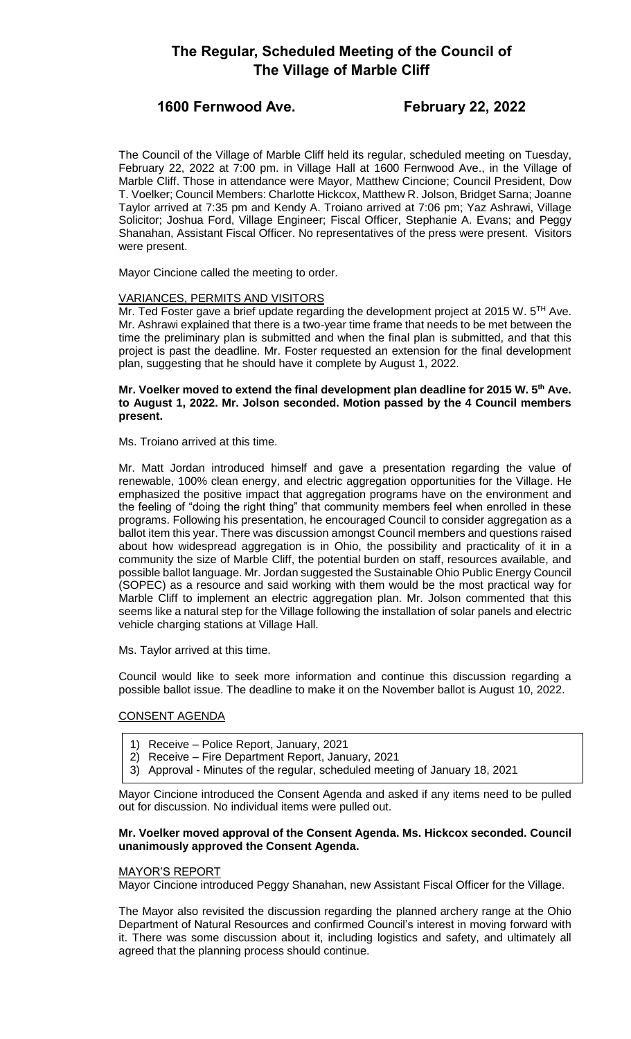# **The Regular, Scheduled Meeting of the Council of The Village of Marble Cliff**

# **1600 Fernwood Ave. February 22, 2022**

The Council of the Village of Marble Cliff held its regular, scheduled meeting on Tuesday, February 22, 2022 at 7:00 pm. in Village Hall at 1600 Fernwood Ave., in the Village of Marble Cliff. Those in attendance were Mayor, Matthew Cincione; Council President, Dow T. Voelker; Council Members: Charlotte Hickcox, Matthew R. Jolson, Bridget Sarna; Joanne Taylor arrived at 7:35 pm and Kendy A. Troiano arrived at 7:06 pm; Yaz Ashrawi, Village Solicitor; Joshua Ford, Village Engineer; Fiscal Officer, Stephanie A. Evans; and Peggy Shanahan, Assistant Fiscal Officer. No representatives of the press were present. Visitors were present.

Mayor Cincione called the meeting to order.

# VARIANCES, PERMITS AND VISITORS

Mr. Ted Foster gave a brief update regarding the development project at 2015 W.  $5<sup>TH</sup>$  Ave. Mr. Ashrawi explained that there is a two-year time frame that needs to be met between the time the preliminary plan is submitted and when the final plan is submitted, and that this project is past the deadline. Mr. Foster requested an extension for the final development plan, suggesting that he should have it complete by August 1, 2022.

# **Mr. Voelker moved to extend the final development plan deadline for 2015 W. 5th Ave. to August 1, 2022. Mr. Jolson seconded. Motion passed by the 4 Council members present.**

Ms. Troiano arrived at this time.

Mr. Matt Jordan introduced himself and gave a presentation regarding the value of renewable, 100% clean energy, and electric aggregation opportunities for the Village. He emphasized the positive impact that aggregation programs have on the environment and the feeling of "doing the right thing" that community members feel when enrolled in these programs. Following his presentation, he encouraged Council to consider aggregation as a ballot item this year. There was discussion amongst Council members and questions raised about how widespread aggregation is in Ohio, the possibility and practicality of it in a community the size of Marble Cliff, the potential burden on staff, resources available, and possible ballot language. Mr. Jordan suggested the Sustainable Ohio Public Energy Council (SOPEC) as a resource and said working with them would be the most practical way for Marble Cliff to implement an electric aggregation plan. Mr. Jolson commented that this seems like a natural step for the Village following the installation of solar panels and electric vehicle charging stations at Village Hall.

Ms. Taylor arrived at this time.

Council would like to seek more information and continue this discussion regarding a possible ballot issue. The deadline to make it on the November ballot is August 10, 2022.

# CONSENT AGENDA

- 1) Receive Police Report, January, 2021
- 2) Receive Fire Department Report, January, 2021
- 3) Approval Minutes of the regular, scheduled meeting of January 18, 2021

Mayor Cincione introduced the Consent Agenda and asked if any items need to be pulled out for discussion. No individual items were pulled out.

# **Mr. Voelker moved approval of the Consent Agenda. Ms. Hickcox seconded. Council unanimously approved the Consent Agenda.**

# MAYOR'S REPORT

Mayor Cincione introduced Peggy Shanahan, new Assistant Fiscal Officer for the Village.

The Mayor also revisited the discussion regarding the planned archery range at the Ohio Department of Natural Resources and confirmed Council's interest in moving forward with it. There was some discussion about it, including logistics and safety, and ultimately all agreed that the planning process should continue.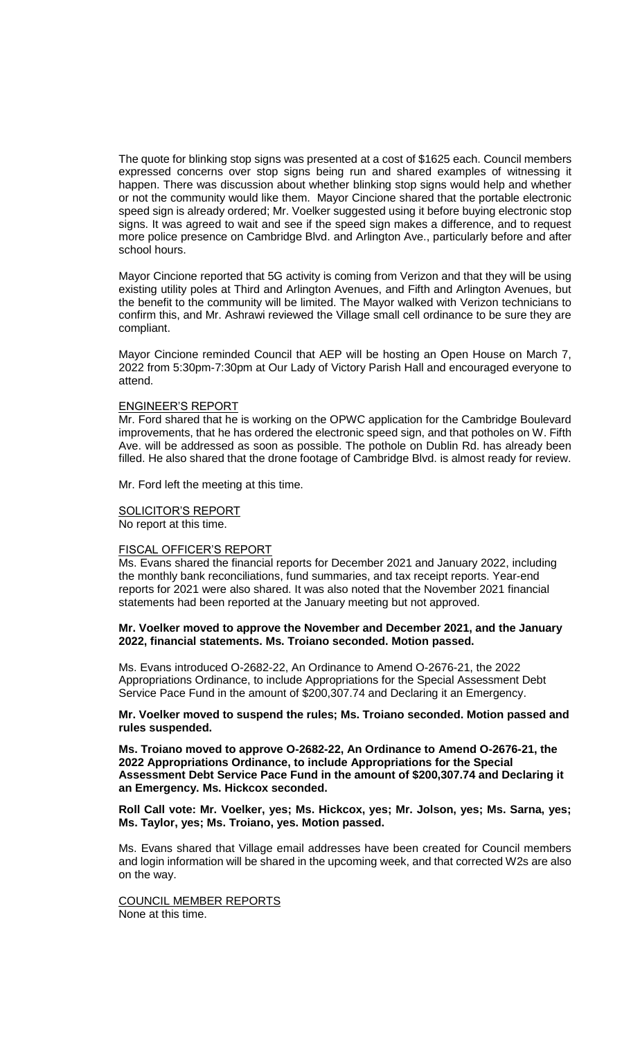The quote for blinking stop signs was presented at a cost of \$1625 each. Council members expressed concerns over stop signs being run and shared examples of witnessing it happen. There was discussion about whether blinking stop signs would help and whether or not the community would like them. Mayor Cincione shared that the portable electronic speed sign is already ordered; Mr. Voelker suggested using it before buying electronic stop signs. It was agreed to wait and see if the speed sign makes a difference, and to request more police presence on Cambridge Blvd. and Arlington Ave., particularly before and after school hours.

Mayor Cincione reported that 5G activity is coming from Verizon and that they will be using existing utility poles at Third and Arlington Avenues, and Fifth and Arlington Avenues, but the benefit to the community will be limited. The Mayor walked with Verizon technicians to confirm this, and Mr. Ashrawi reviewed the Village small cell ordinance to be sure they are compliant.

Mayor Cincione reminded Council that AEP will be hosting an Open House on March 7, 2022 from 5:30pm-7:30pm at Our Lady of Victory Parish Hall and encouraged everyone to attend.

### ENGINEER'S REPORT

Mr. Ford shared that he is working on the OPWC application for the Cambridge Boulevard improvements, that he has ordered the electronic speed sign, and that potholes on W. Fifth Ave. will be addressed as soon as possible. The pothole on Dublin Rd. has already been filled. He also shared that the drone footage of Cambridge Blvd. is almost ready for review.

Mr. Ford left the meeting at this time.

#### SOLICITOR'S REPORT

No report at this time.

#### FISCAL OFFICER'S REPORT

Ms. Evans shared the financial reports for December 2021 and January 2022, including the monthly bank reconciliations, fund summaries, and tax receipt reports. Year-end reports for 2021 were also shared. It was also noted that the November 2021 financial statements had been reported at the January meeting but not approved.

## **Mr. Voelker moved to approve the November and December 2021, and the January 2022, financial statements. Ms. Troiano seconded. Motion passed.**

Ms. Evans introduced O-2682-22, An Ordinance to Amend O-2676-21, the 2022 Appropriations Ordinance, to include Appropriations for the Special Assessment Debt Service Pace Fund in the amount of \$200,307.74 and Declaring it an Emergency.

## **Mr. Voelker moved to suspend the rules; Ms. Troiano seconded. Motion passed and rules suspended.**

**Ms. Troiano moved to approve O-2682-22, An Ordinance to Amend O-2676-21, the 2022 Appropriations Ordinance, to include Appropriations for the Special Assessment Debt Service Pace Fund in the amount of \$200,307.74 and Declaring it an Emergency. Ms. Hickcox seconded.**

# **Roll Call vote: Mr. Voelker, yes; Ms. Hickcox, yes; Mr. Jolson, yes; Ms. Sarna, yes; Ms. Taylor, yes; Ms. Troiano, yes. Motion passed.**

Ms. Evans shared that Village email addresses have been created for Council members and login information will be shared in the upcoming week, and that corrected W2s are also on the way.

COUNCIL MEMBER REPORTS None at this time.